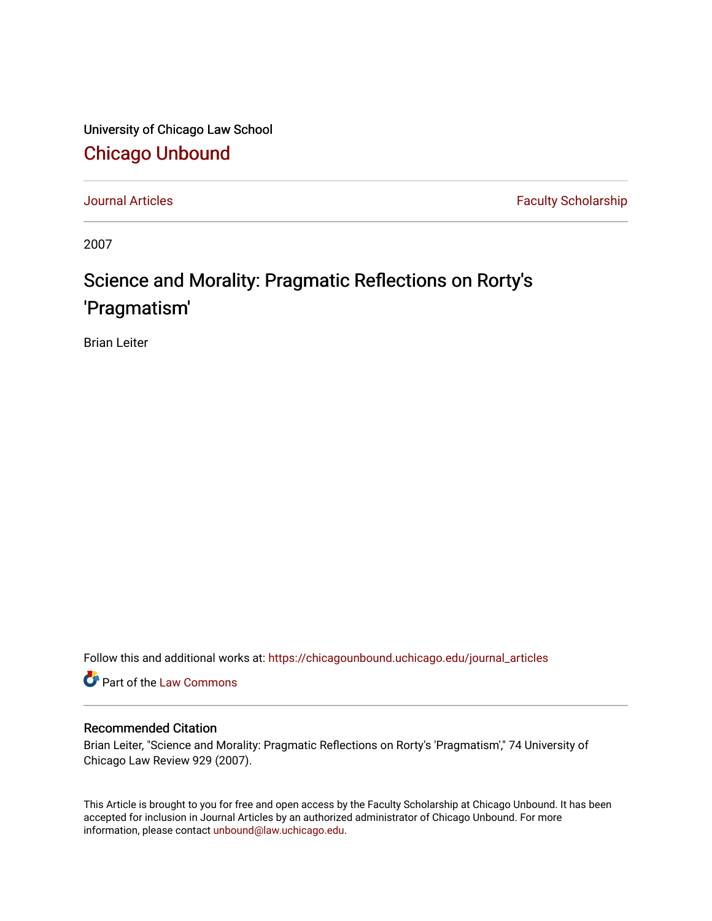University of Chicago Law School [Chicago Unbound](https://chicagounbound.uchicago.edu/)

[Journal Articles](https://chicagounbound.uchicago.edu/journal_articles) **Faculty Scholarship Faculty Scholarship** 

2007

## Science and Morality: Pragmatic Reflections on Rorty's 'Pragmatism'

Brian Leiter

Follow this and additional works at: [https://chicagounbound.uchicago.edu/journal\\_articles](https://chicagounbound.uchicago.edu/journal_articles?utm_source=chicagounbound.uchicago.edu%2Fjournal_articles%2F1560&utm_medium=PDF&utm_campaign=PDFCoverPages) 

Part of the [Law Commons](http://network.bepress.com/hgg/discipline/578?utm_source=chicagounbound.uchicago.edu%2Fjournal_articles%2F1560&utm_medium=PDF&utm_campaign=PDFCoverPages)

## Recommended Citation

Brian Leiter, "Science and Morality: Pragmatic Reflections on Rorty's 'Pragmatism'," 74 University of Chicago Law Review 929 (2007).

This Article is brought to you for free and open access by the Faculty Scholarship at Chicago Unbound. It has been accepted for inclusion in Journal Articles by an authorized administrator of Chicago Unbound. For more information, please contact [unbound@law.uchicago.edu](mailto:unbound@law.uchicago.edu).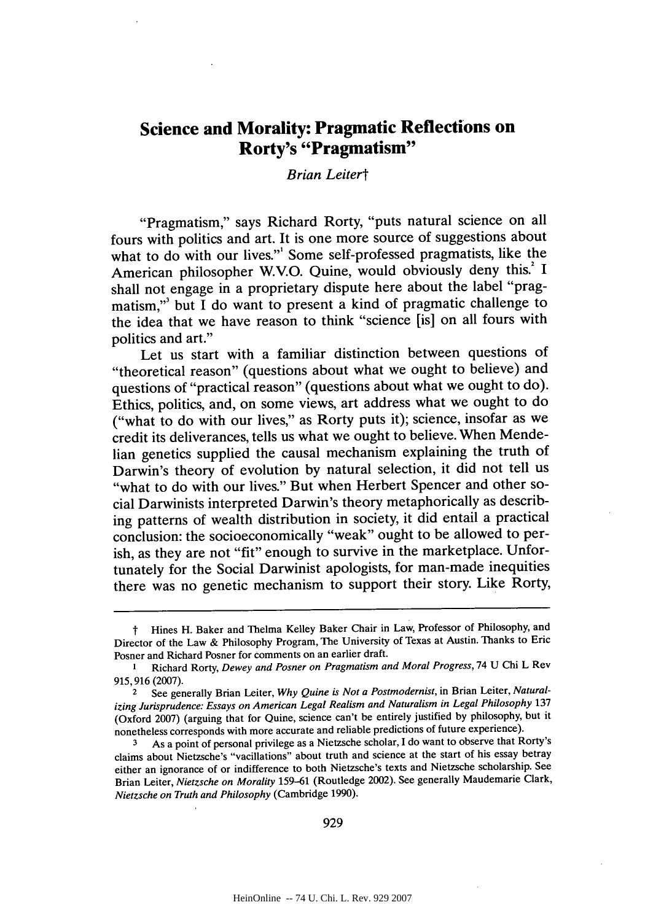## **Science and Morality: Pragmatic Reflections on Rorty's "Pragmatism"**

## *Brian Leitert*

"Pragmatism," says Richard Rorty, "puts natural science on all fours with politics and art. It is one more source of suggestions about what to do with our lives." Some self-professed pragmatists, like the American philosopher W.V.O. Quine, would obviously deny this.<sup>2</sup> I shall not engage in a proprietary dispute here about the label "pragmatism,"' but **I** do want to present a kind of pragmatic challenge to the idea that we have reason to think "science [is] on all fours with politics and art."

Let us start with a familiar distinction between questions of "theoretical reason" (questions about what we ought to believe) and questions of "practical reason" (questions about what we ought to do). Ethics, politics, and, on some views, art address what we ought to do ("what to do with our lives," as Rorty puts it); science, insofar as we credit its deliverances, tells us what we ought to believe. When Mendelian genetics supplied the causal mechanism explaining the truth of Darwin's theory of evolution **by** natural selection, it did not tell us "what to do with our lives." But when Herbert Spencer and other social Darwinists interpreted Darwin's theory metaphorically as describing patterns of wealth distribution in society, it did entail a practical conclusion: the socioeconomically "weak" ought to be allowed to perish, as they are not "fit" enough to survive in the marketplace. Unfortunately for the Social Darwinist apologists, for man-made inequities there was no genetic mechanism to support their story. Like Rorty,

t Hines H. Baker and Thelma Kelley Baker Chair in Law, Professor of Philosophy, and Director of the Law **&** Philosophy Program, The University of Texas at Austin. Thanks to Eric Posner and Richard Posner for comments on an earlier draft.

**I** Richard Rorty, *Dewey and Posner on Pragmatism and Moral Progress,* 74 **U** Chi L Rev **915,916 (2007).**

<sup>2</sup> See generally Brian Leiter, *Why Quine is Not a Postmodernist,* in Brian Leiter, *Naturalizing Jurisprudence: Essays on American Legal Realism and Naturalism in Legal Philosophy <sup>137</sup>* (Oxford **2007)** (arguing that for Quine, science can't **be** entirely justified **by** philosophy, but it nonetheless corresponds with more accurate and reliable predictions of future experience).<br>3 As a point of personal privilege as a Nietzsche scholar, I do want to observe that R

**<sup>3</sup>** As a point of personal privilege as a Nietzsche scholar, **I** do want to observe that Rorty's claims about Nietzsche's "vacillations" about truth and science at the start of his essay betray either an ignorance of or indifference to both Nietzsche's texts and Nietzsche scholarship. See Brian Leiter, *Nietzsche on Morality* **159-61** (Routledge 2002). See generally Maudemarie Clark, *Nietzsche on Truth and Philosophy* (Cambridge **1990).**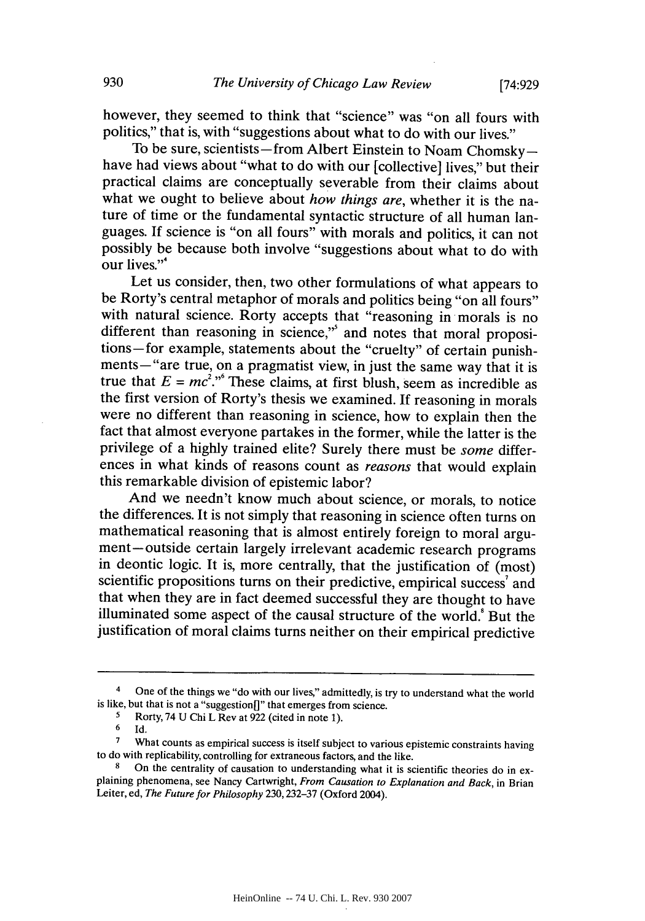however, they seemed to think that "science" was "on all fours with politics," that is, with "suggestions about what to do with our lives."<br>To be sure, scientists—from Albert Einstein to Noam Chomsky—

have had views about "what to do with our [collective] lives," but their practical claims are conceptually severable from their claims about what we ought to believe about *how things are,* whether it is the nature of time or the fundamental syntactic structure of all human languages. **If** science is "on all fours" with morals and politics, it can not possibly be because both involve "suggestions about what to do with our lives."<sup>4</sup>

Let us consider, then, two other formulations of what appears to be Rorty's central metaphor of morals and politics being "on all fours" with natural science. Rorty accepts that "reasoning in morals is no different than reasoning in science," and notes that moral propositions-for example, statements about the "cruelty" of certain punishments-"are true, on a pragmatist view, in just the same way that it is true that  $E = mc^2$ .<sup>, 6</sup> These claims, at first blush, seem as incredible as the first version of Rorty's thesis we examined. **If** reasoning in morals were no different than reasoning in science, how to explain then the fact that almost everyone partakes in the former, while the latter is the privilege of a **highly** trained elite? Surely there must be *some* differences in what kinds of reasons count as *reasons* that would explain this remarkable division of epistemic labor?

And we needn't know much about science, or morals, to notice the differences. It is not simply that reasoning in science often turns on mathematical reasoning that is almost entirely foreign to moral argument-outside certain largely irrelevant academic research programs in deontic logic. It is, more centrally, that the justification of (most) scientific propositions turns on their predictive, empirical success' and that when they are in fact deemed successful they are thought to have illuminated some aspect of the causal structure of the world.<sup>8</sup> But the justification of moral claims turns neither on their empirical predictive

<sup>&</sup>lt;sup>4</sup> One of the things we "do with our lives," admittedly, is try to understand what the world is like, but that is not a "suggestion" that emerges from science.<br>  $\frac{5}{\sqrt{1.5}}$  Rorty 74 II Chi I Rev at 922 (cited in note 1).

**<sup>5</sup>** Rorty, 74 **U** Chi L Rev at **922** (cited in note **1).**

**<sup>6</sup> Id.**

<sup>&</sup>lt;sup>7</sup> What counts as empirical success is itself subject to various epistemic constraints having to do with replicability, controlling for extraneous factors, and the like.

**<sup>8</sup>**On the centrality of causation to understanding what it is scientific theories do in ex- plaining phenomena, see Nancy Cartwright, *From Causation to Explanation and Back,* in Brian Leiter, ed, *The Future for Philosophy* **230, 232-37** (Oxford 2004).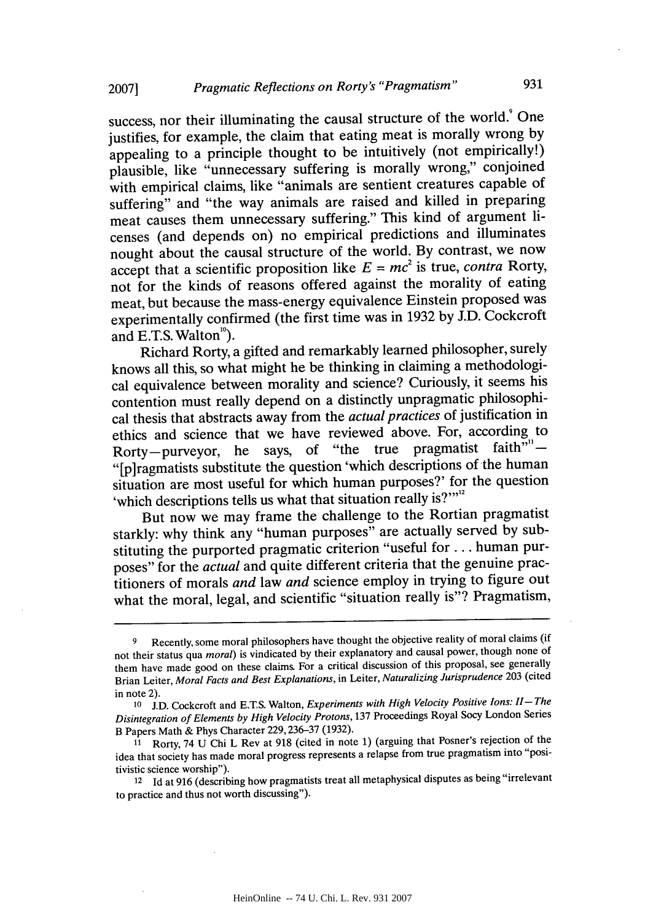success, nor their illuminating the causal structure of the world.<sup>9</sup> One justifies, for example, the claim that eating meat is morally wrong **by** appealing to a principle thought to be intuitively (not empirically!) plausible, like "unnecessary suffering is morally wrong," conjoined with empirical claims, like "animals are sentient creatures capable of suffering" and "the way animals are raised and killed in preparing meat causes them unnecessary suffering." This kind of argument licenses (and depends on) no empirical predictions and illuminates nought about the causal structure of the world. **By** contrast, we now accept that a scientific proposition like  $E = mc^2$  is true, *contra* Rorty, not for the kinds of reasons offered against the morality of eating meat, but because the mass-energy equivalence Einstein proposed was experimentally confirmed (the first time was in **1932 by J.D.** Cockcroft and E.T.S. Walton<sup>10</sup>).

Richard Rorty, a gifted and remarkably learned philosopher, surely knows all this, so what might he be thinking in claiming a methodological equivalence between morality and science? Curiously, it seems his contention must really depend on a distinctly unpragmatic philosophical thesis that abstracts away from the *actual practices* of justification in ethics and science that we have reviewed above. For, according to Rorty-purveyor, he says, of "the true pragmatist faith"<sup>"-1</sup> "[p]ragmatists substitute the question'which descriptions of the human situation are most useful for which human purposes?' for the question 'which descriptions tells us what that situation really is?"<sup>12</sup>

But now we may frame the challenge to the Rortian pragmatist starkly: why think any "human purposes" are actually served **by** substituting the purported pragmatic criterion "useful for **. ..** human purposes" for the *actual* and quite different criteria that the genuine practitioners of morals *and law and* science employ in trying to figure out what the moral, legal, and scientific "situation really is"? Pragmatism,

**<sup>9</sup>** Recently, some moral philosophers have thought the objective reality of moral claims (if not their status qua *moral)* is vindicated **by** their explanatory and causal power, though none of them have made good on these claims. For a critical discussion of this proposal, see generally Brian Leiter, *Moral Facts and Best Explanations,* in Leiter, *Naturalizing Jurisprudence* **203** (cited in note 2).

**<sup>10</sup>J.D.** Cockcroft and **E.TS.** Walton, *Experiments with High Velocity Positive Ions: II-The Disintegration of Elements by High Velocity Protons,* **137** Proceedings Royal Socy London Series B Papers Math **&** Phys Character **229,236-37 (1932).**

**<sup>11</sup>** Rorty, 74 **U** Chi L Rev at **918** (cited in note **1)** (arguing that Posner's rejection of the idea that society has made moral progress represents a relapse from true pragmatism into "positivistic science worship").

**<sup>12</sup>Id** at **916** (describing how pragmatists treat all metaphysical disputes as being "irrelevant to practice and thus not worth discussing").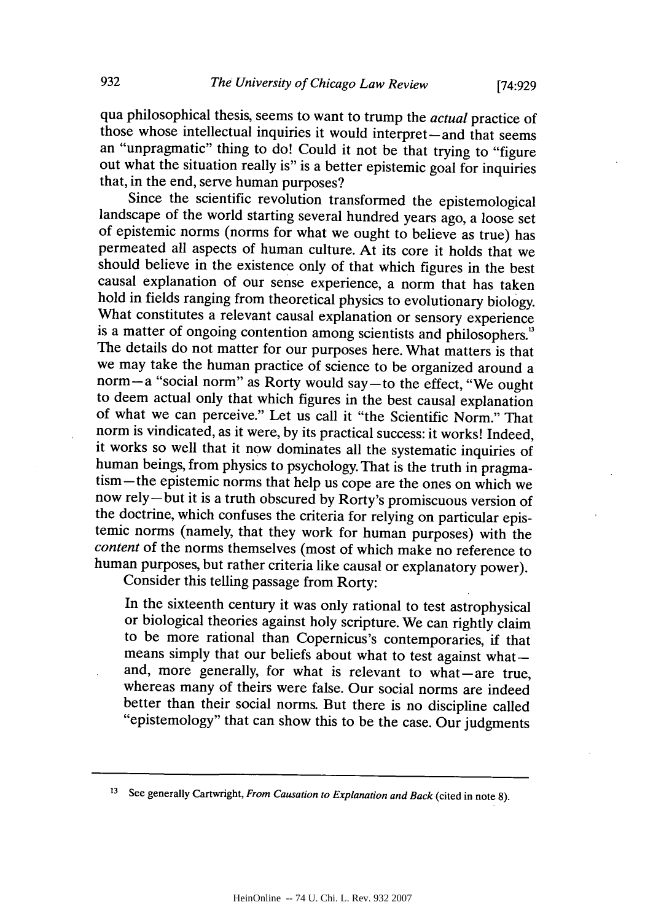qua philosophical thesis, seems to want to trump the *actual* practice of those whose intellectual inquiries it would interpret-and that seems an "unpragmatic" thing to do! Could it not be that trying to "figure out what the situation really is" is a better epistemic goal for inquiries that, in the end, serve human purposes?

landscape of the world starting several hundred years ago, a loose set of epistemic norms (norms for what we ought to believe as true) has permeated all aspects of human culture. At its core it holds that we should believe in the existence only of that which figures in the best causal explanation of our sense experience, a norm that has taken hold in fields ranging from theoretical physics to evolutionary biology. What constitutes a relevant causal explanation or sensory experience<br>is a matter of ongoing contention among scientists and philosophers."<br>The details do not matter for our purposes here. What matters is that we may take the human practice of science to be organized around a norm-a "social norm" as Rorty would say-to the effect, "We ought to deem actual only that which figures in the best causal explanation of what we can perceive." Let us call it "the Scientific Norm." That norm is vindicated, as it were, by its practical success: it works! Indeed, it works so well that it now dominates all the systematic inquiries of human beings, from physics to psychology. That is the truth in pragmatism-the epistemic norms that help us cope are the ones on which we now rely-but it is a truth obscured **by** Rorty's promiscuous version of temic norms (namely, that they work for human purposes) with the *content* of the norms themselves (most of which make no reference to human purposes, but rather criteria like causal or explanatory power). Consider this telling passage from Rorty:

In the sixteenth century it was only rational to test astrophysical or biological theories against holy scripture. We can rightly claim to be more rational than Copernicus's contemporaries, if that means simply that our beliefs about what to test against what—and, more generally, for what is relevant to what—are true, whereas many of theirs were false. Our social norms are indeed<br>better than their social norms. But there is no discipline called "epistemology" that can show this to be the case. Our judgments

**<sup>13</sup>**See generally Cartwright, *From Causation to Explanation and Back* (cited in note **8).**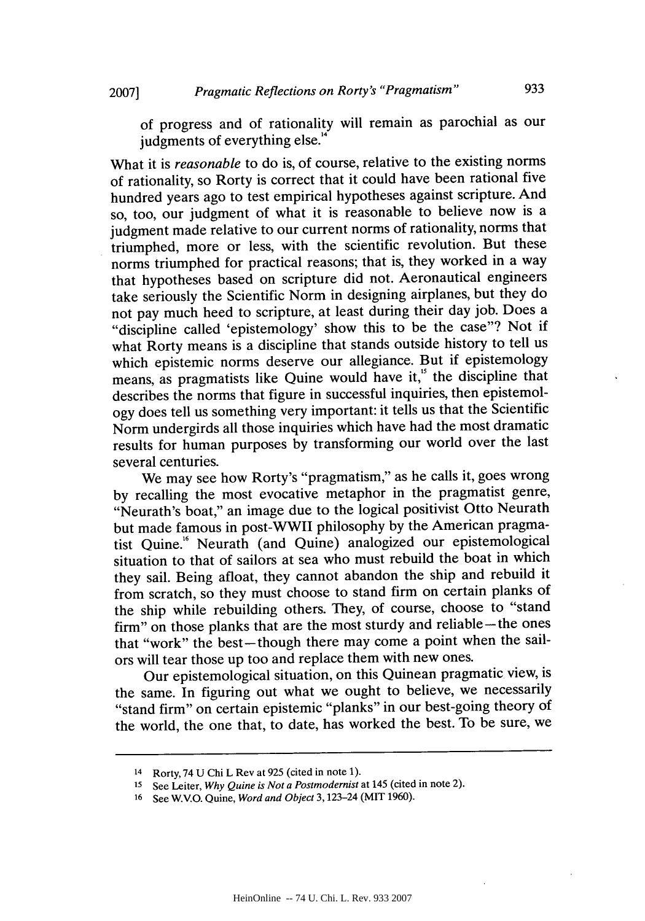What it is *reasonable* to do is, of course, relative to the existing norms of rationality, so Rorty is correct that it could have been rational five hundred years ago to test empirical hypotheses against scripture. And so, too, our judgment of what it is reasonable to believe now is a judgment made relative to our current norms of rationality, norms that triumphed, more or less, with the scientific revolution. But these norms triumphed for practical reasons; that is, they worked in a way that hypotheses based on scripture did not. Aeronautical engineers take seriously the Scientific Norm in designing airplanes, but they do not pay much heed to scripture, at least during their day **job.** Does a "discipline called 'epistemology' show this to be the case"? Not if what Rorty means is a discipline that stands outside history to tell us which epistemic norms deserve our allegiance. But if epistemology means, as pragmatists like Quine would have it," the discipline that describes the norms that figure in successful inquiries, then epistemology does tell us something very important: it tells us that the Scientific Norm undergirds all those inquiries which have had the most dramatic results for human purposes **by** transforming our world over the last several centuries.

We may see how Rorty's "pragmatism," as he calls it, goes wrong **by** recalling the most evocative metaphor in the pragmatist genre, "Neurath's boat," an image due to the logical positivist Otto Neurath but made famous in post-WWII philosophy **by** the American pragmatist Quine.<sup>16</sup> Neurath (and Quine) analogized our epistemological situation to that of sailors at sea who must rebuild the boat in which they sail. Being afloat, they cannot abandon the ship and rebuild it from scratch, so they must choose to stand firm on certain planks of the ship while rebuilding others. They, of course, choose to "stand firm" on those planks that are the most sturdy and reliable-the ones that "work" the best-though there may come a point when the sailors will tear those up too and replace them with new ones.

Our epistemological situation, on this Quinean pragmatic view, is the same. In figuring out what we ought to believe, we necessarily "stand firm" on certain epistemic "planks" in our best-going theory of the world, the one that, to date, has worked the best. To be sure, we

**<sup>14</sup>**Rorty, 74 **U** Chi L Rev at **925** (cited in note **1).**

**<sup>15</sup>**See Leiter, *Why Quine is Not a Postmodernist* at 145 (cited in note 2).

**<sup>16</sup>**See *W.V.O.* Quine, *Word and Object* 3,123-24 (MIT **1960).**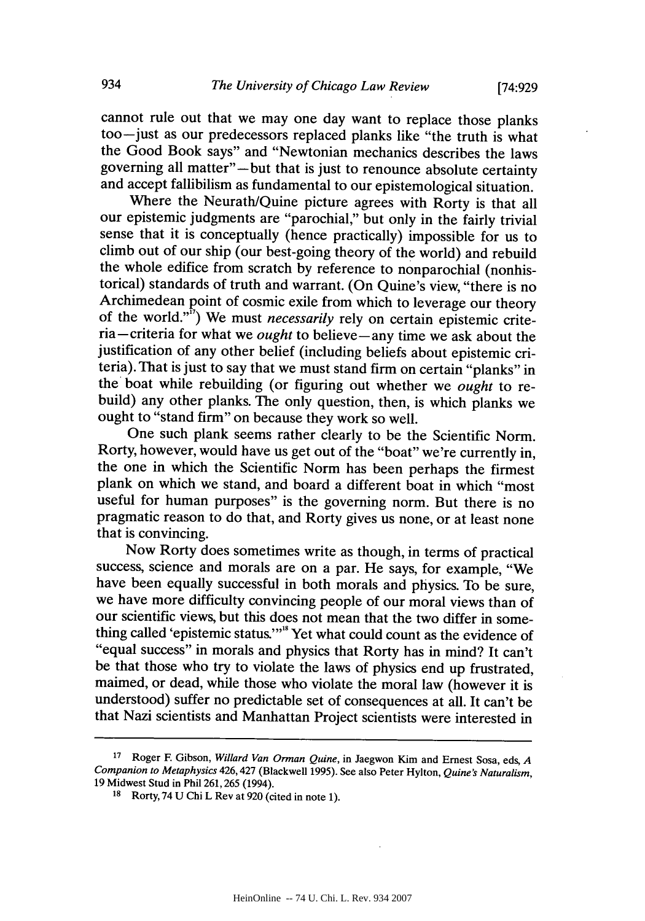cannot rule out that we may one day want to replace those planks too-just as our predecessors replaced planks like "the truth is what the Good Book says" and "Newtonian mechanics describes the laws governing all matter"—but that is just to renounce absolute certainty and accept fallibilism as fundamental to our epistemological situation.

Where the Neurath/Quine picture agrees with Rorty is that all our epistemic judgments are "parochial," but only in the fairly trivial sense that it is conceptually (hence practically) impossible for us to climb out of our ship (our best-going theory of the world) and rebuild the whole edifice from scratch **by** reference to nonparochial (nonhistorical) standards of truth and warrant. (On Quine's view, "there is no<br>Archimedean point of cosmic exile from which to leverage our theory of the world."<sup>"</sup>) We must *necessarily* rely on certain epistemic criteria-criteria for what we *ought* to believe-any time we ask about the justification of any other belief (including beliefs about epistemic criteria). That is just to say that we must stand firm on certain "planks" in the boat while rebuilding (or figuring out whether we *ought* to rebuild) any other planks. The only question, then, is which planks we ought to "stand firm" on because they work so well.

One such plank seems rather clearly to be the Scientific Norm. Rorty, however, would have us get out of the "boat" we're currently in, the one in which the Scientific Norm has been perhaps the firmest plank on which we stand, and board a different boat in which "most useful for human purposes" is the governing norm. But there is no pragmatic reason to do that, and Rorty gives us none, or at least none that is convincing.

Now Rorty does sometimes write as though, in terms of practical success, science and morals are on a par. He says, for example, "We have been equally successful in both morals and physics. To be sure, we have more difficulty convincing people of our moral views than of our scientific views, but this does not mean that the two differ in something called 'epistemic status.'"<sup>18</sup> Yet what could count as the evidence of "equal success" in morals and physics that Rorty has in mind? It can't be that those who try to violate the laws of physics end up frustrated, maimed, or dead, while those who violate the moral law (however it is understood) suffer no predictable set of consequences at all. It can't be that Nazi scientists and Manhattan Project scientists were interested in

**<sup>17</sup>**Roger F Gibson, *Willard Van Orman Quine,* in Jaegwon Kim and Ernest Sosa, eds, *<sup>A</sup> Companion to Metaphysics* 426,427 (Blackwell **1995).** See also Peter Hylton, *Quine's Naturalism,* **19** Midwest Stud in Phil **261,265** (1994).

**<sup>18</sup>**Rorty, 74 **U** Chi L Rev at **920** (cited in note **1).**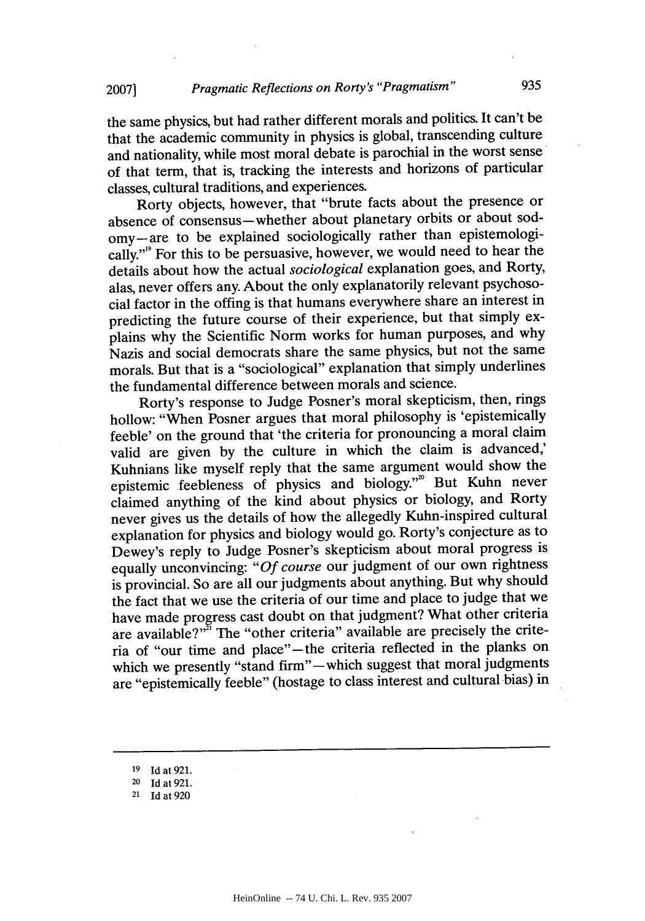the same physics, but had rather different morals and politics. It can't be that the academic community in physics is global, transcending culture and nationality, while most moral debate is parochial in the worst sense of that term, that is, tracking the interests and horizons of particular classes, cultural traditions, and experiences.

Rorty objects, however, that "brute facts about the presence or absence of consensus-whether about planetary orbits or about sodomy-are to be explained sociologically rather than epistemologically."'9 For this to be persuasive, however, we would need to hear the details about how the actual *sociological* explanation goes, and Rorty, alas, never offers any. About the only explanatorily relevant psychosocial factor in the offing is that humans everywhere share an interest in predicting the future course of their experience, but that simply explains why the Scientific Norm works for human purposes, and why Nazis and social democrats share the same physics, but not the same morals. But that is a "sociological" explanation that simply underlines the fundamental difference between morals and science.

Rorty's response to Judge Posner's moral skepticism, then, rings hollow: "When Posner argues that moral philosophy is 'epistemically feeble' on the ground that 'the criteria for pronouncing a moral claim valid are given **by** the culture in which the claim is advanced,' Kuhnians like myself reply that the same argument would show the epistemic feebleness of physics and biology."<sup>20</sup> But Kuhn never claimed anything of the kind about physics or biology, and Rorty never gives us the details of how the allegedly Kuhn-inspired cultural explanation for physics and biology would go. Rorty's conjecture as to Dewey's reply to Judge Posner's skepticism about moral progress is equally unconvincing: *"Of course* our judgment of our own rightness is provincial. So are all our judgments about anything. But why should the fact that we use the criteria of our time and place to judge that we have made progress cast doubt on that judgment? What other criteria are available?"<sup>In</sup> The "other criteria" available are precisely the criteria of "our time and place"-the criteria reflected in the planks on which we presently "stand firm" - which suggest that moral judgments are "epistemically feeble" (hostage to class interest and cultural bias) in

**<sup>19</sup>Id at 921.**

**<sup>20</sup>Id at 921.**

**<sup>21</sup> Id at 920**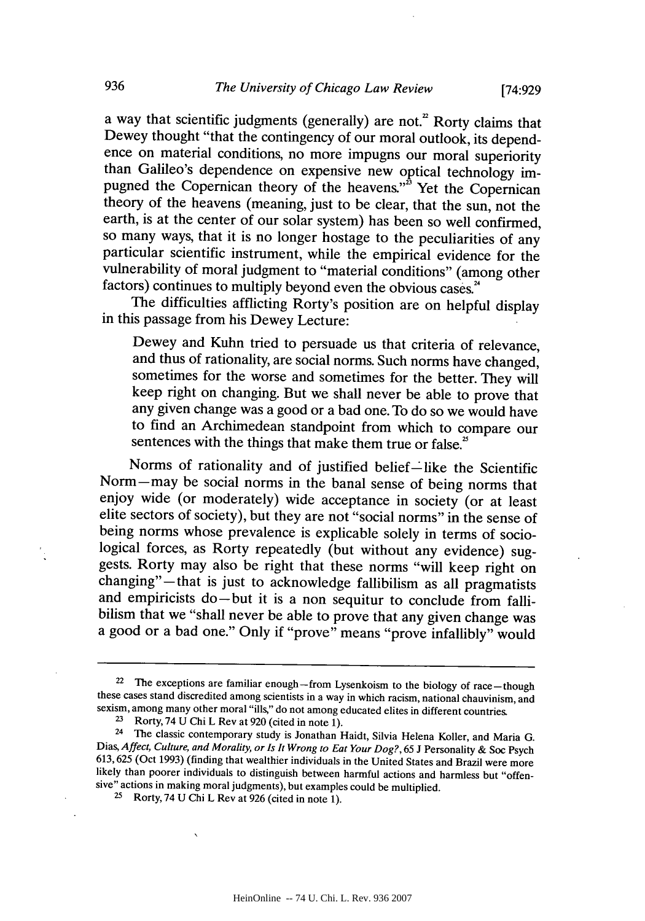a way that scientific judgments (generally) are not.<sup>2</sup> Rorty claims that Dewey thought "that the contingency of our moral outlook, its dependence on material conditions, no more impugns our moral superiority than Galileo's dependence on expensive new optical technology impugned the Copernican theory of the heavens."<sup>3</sup> Yet the Copernican theory of the heavens (meaning, just to be clear, that the sun, not the earth, is at the center of our solar system) has been so well confirmed, so many ways, that it is no longer hostage to the peculiarities of any particular scientific instrument, while the empirical evidence for the vulnerability of moral judgment to "material conditions" (among other factors) continues to multiply beyond even the obvious cases.<sup>24</sup>

The difficulties afflicting Rorty's position are on helpful display in this passage from his Dewey Lecture:

Dewey and Kuhn tried to persuade us that criteria of relevance, and thus of rationality, are social norms. Such norms have changed, sometimes for the worse and sometimes for the better. They will keep right on changing. But we shall never be able to prove that any given change was a good or a bad one. To do so we would have to find an Archimedean standpoint from which to compare our sentences with the things that make them true or false.<sup>25</sup>

Norms of rationality and of justified belief-like the Scientific Norm-may be social norms in the banal sense of being norms that enjoy wide (or moderately) wide acceptance in society (or at least elite sectors of society), but they are not "social norms" in the sense of being norms whose prevalence is explicable solely in terms of sociological forces, as Rorty repeatedly (but without any evidence) suggests. Rorty may also be right that these norms "will keep right on changing"—that is just to acknowledge fallibilism as all pragmatists and empiricists do-but it is a non sequitur to conclude from fallibilism that we "shall never be able to prove that any given change was a good or a bad one." Only if "prove" means "prove infallibly" would

<sup>&</sup>lt;sup>22</sup> The exceptions are familiar enough-from Lysenkoism to the biology of race-though these cases stand discredited among scientists in a way in which racism, national chauvinism, and sexism, among many other moral "ills," do not among educated elites in different countries.

**<sup>2</sup>**Rorty, 74 **U** Chi L Rev at **920** (cited in note **1).**

<sup>&</sup>lt;sup>24</sup> The classic contemporary study is Jonathan Haidt, Silvia Helena Koller, and Maria G.<br>Dias, *Affect, Culture, and Morality, or Is It Wrong to Eat Your Dog?*, 65 J Personality & Soc Psych 613, 625 (Oct 1993) (finding that wealthier individuals in the United States and Brazil were more likely than poorer individuals to distinguish between harmful actions and harmless but "offensive" actions in making moral judgments), but examples could be multiplied.

**<sup>2</sup>**Rorty, 74 **U** Chi L Rev at **926** (cited in note **1).**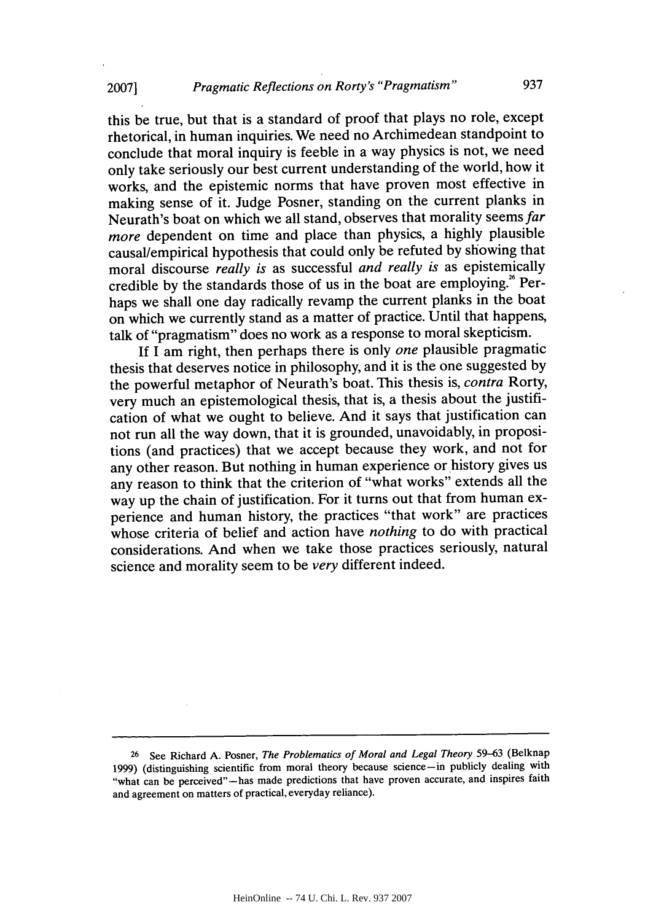this be true, but that is a standard of proof that plays no role, except rhetorical, in human inquiries. We need no Archimedean standpoint to conclude that moral inquiry is feeble in a way physics is not, we need only take seriously our best current understanding of the world, how it works, and the epistemic norms that have proven most effective in making sense of it. Judge Posner, standing on the current planks in Neurath's boat on which we all stand, observes that morality seems *far more* dependent on time and place than physics, a **highly** plausible causal/empirical hypothesis that could only be refuted **by** showing that moral discourse *really is* as successful *and really is* as epistemically credible by the standards those of us in the boat are employing.<sup>26</sup> Perhaps we shall one day radically revamp the current planks in the boat on which we currently stand as a matter of practice. Until that happens, talk of "pragmatism" does no work as a response to moral skepticism.

**If I** am right, then perhaps there is only *one* plausible pragmatic thesis that deserves notice in philosophy, and it is the one suggested **by** the powerful metaphor of Neurath's boat. This thesis is, *contra* Rorty, very much an epistemological thesis, that is, a thesis about the justification of what we ought to believe. And it says that justification can not run all the way down, that it is grounded, unavoidably, in propositions (and practices) that we accept because they work, and not for any other reason. But nothing in human experience or history gives us any reason to think that the criterion of "what works" extends all the way up the chain of justification. For it turns out that from human experience and human history, the practices "that work" are practices whose criteria of belief and action have *nothing* to do with practical considerations. And when we take those practices seriously, natural science and morality seem to be *very* different indeed.

**<sup>26</sup>**See Richard **A.** Posner, *The Problematics of Moral and Legal Theory* **59-63** (Belknap **1999)** (distinguishing scientific from moral theory because science-in publicly dealing with "what can be perceived"-has made predictions that have proven accurate, and inspires faith and agreement on matters of practical, everyday reliance).